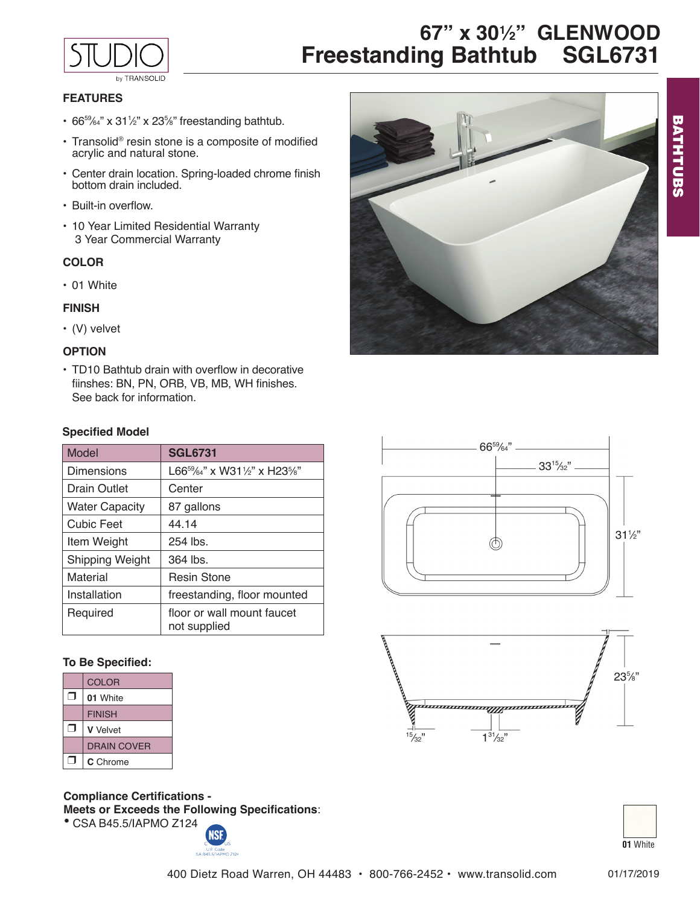

**67" x 301 ⁄2" GLENWOOD Freestanding Bathtub SGL6731**

# **FEATURES**

- $66^{59}/64$ " x  $31\frac{1}{2}$ " x  $23\frac{5}{8}$ " freestanding bathtub.
- Transolid® resin stone is a composite of modified acrylic and natural stone.
- Center drain location. Spring-loaded chrome finish bottom drain included.
- Built-in overflow.
- 10 Year Limited Residential Warranty 3 Year Commercial Warranty

#### **COLOR**

• 01 White

#### **FINISH**

• (V) velvet

### **OPTION**

• TD10 Bathtub drain with overflow in decorative fiinshes: BN, PN, ORB, VB, MB, WH finishes. See back for information.

#### **Specified Model**

| Model                 | <b>SGL6731</b>                             |
|-----------------------|--------------------------------------------|
| Dimensions            | $L66^{59}$ / 64" x W31 1/2" x H23 1/3"     |
| Drain Outlet          | Center                                     |
| <b>Water Capacity</b> | 87 gallons                                 |
| <b>Cubic Feet</b>     | 44.14                                      |
| Item Weight           | $254$ lbs.                                 |
| Shipping Weight       | $364$ lbs.                                 |
| Material              | <b>Resin Stone</b>                         |
| Installation          | freestanding, floor mounted                |
| Required              | floor or wall mount faucet<br>not supplied |

#### **To Be Specified:**

| <b>COLOR</b>       |
|--------------------|
| 01 White           |
| <b>FINISH</b>      |
| <b>V</b> Velvet    |
| <b>DRAIN COVER</b> |
| C Chrome           |

**Compliance Certifications - Meets or Exceeds the Following Specifications**: